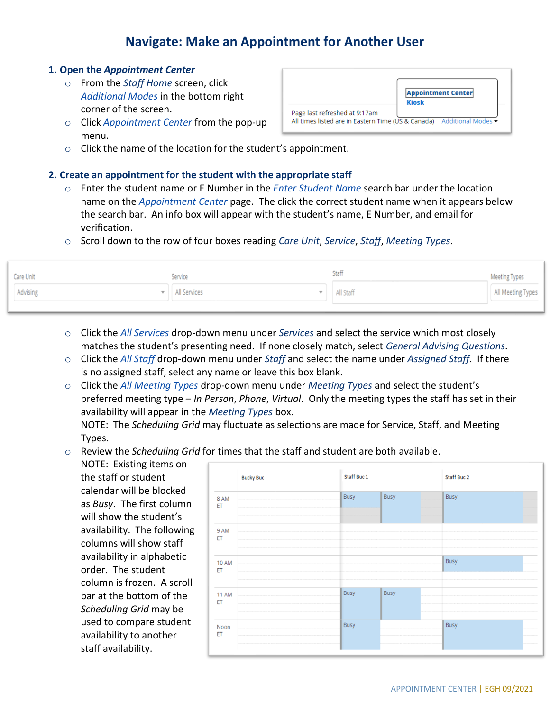## **Navigate: Make an Appointment for Another User**

## **1. Open the** *Appointment Center*

- o From the *Staff Home* screen, click *Additional Modes* in the bottom right corner of the screen.
- o Click *Appointment Center* from the pop-up menu.

|                               | <b>Appointment Center</b><br><b>Kiosk</b> |
|-------------------------------|-------------------------------------------|
| Page last refreshed at 9:17am |                                           |

 $\circ$  Click the name of the location for the student's appointment.

## **2. Create an appointment for the student with the appropriate staff**

- o Enter the student name or E Number in the *Enter Student Name* search bar under the location name on the *Appointment Center* page. The click the correct student name when it appears below the search bar. An info box will appear with the student's name, E Number, and email for verification.
- o Scroll down to the row of four boxes reading *Care Unit*, *Service*, *Staff*, *Meeting Types*.

| Care Unit | Service        | Staff       | Meeting Types     |
|-----------|----------------|-------------|-------------------|
| Advising  | • All Services | ▼ All Staff | All Meeting Types |
|           |                |             |                   |

- o Click the *All Services* drop-down menu under *Services* and select the service which most closely matches the student's presenting need. If none closely match, select *General Advising Questions*.
- o Click the *All Staff* drop-down menu under *Staff* and select the name under *Assigned Staff*. If there is no assigned staff, select any name or leave this box blank.
- o Click the *All Meeting Types* drop-down menu under *Meeting Types* and select the student's preferred meeting type – *In Person*, *Phone*, *Virtual*. Only the meeting types the staff has set in their availability will appear in the *Meeting Types* box.

NOTE: The *Scheduling Grid* may fluctuate as selections are made for Service, Staff, and Meeting Types.

o Review the *Scheduling Grid* for times that the staff and student are both available.

NOTE: Existing items on the staff or student calendar will be blocked as *Busy*. The first column will show the student's availability. The following columns will show staff availability in alphabetic order. The student column is frozen. A scroll bar at the bottom of the *Scheduling Grid* may be used to compare student availability to another staff availability.

|                    | <b>Bucky Buc</b> | Staff Buc 1 |             | Staff Buc 2 |
|--------------------|------------------|-------------|-------------|-------------|
| 8 AM<br>ET         |                  | <b>Busy</b> | <b>Busy</b> | Busy        |
| 9 AM<br>ET         |                  |             |             |             |
| <b>10 AM</b><br>ET |                  |             |             | <b>Busy</b> |
| <b>11 AM</b><br>ET |                  | <b>Busy</b> | Busy        |             |
| Noon<br>ET         |                  | <b>Busy</b> |             | Busy        |